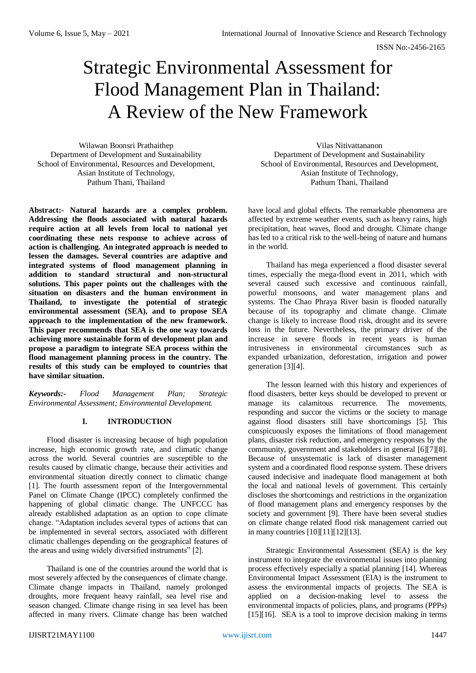# Strategic Environmental Assessment for Flood Management Plan in Thailand: A Review of the New Framework

Wilawan Boonsri Prathaithep Department of Development and Sustainability School of Environmental, Resources and Development, Asian Institute of Technology, Pathum Thani, Thailand

**Abstract:- Natural hazards are a complex problem. Addressing the floods associated with natural hazards require action at all levels from local to national yet coordinating these nets response to achieve across of action is challenging. An integrated approach is needed to lessen the damages. Several countries are adaptive and integrated systems of flood management planning in addition to standard structural and non-structural solutions. This paper points out the challenges with the situation on disasters and the human environment in Thailand, to investigate the potential of strategic environmental assessment (SEA), and to propose SEA approach to the implementation of the new framework. This paper recommends that SEA is the one way towards achieving more sustainable form of development plan and propose a paradigm to integrate SEA process within the flood management planning process in the country. The results of this study can be employed to countries that have similar situation.**

*Keywords:- Flood Management Plan; Strategic Environmental Assessment; Environmental Development.*

# **I. INTRODUCTION**

Flood disaster is increasing because of high population increase, high economic growth rate, and climatic change across the world. Several countries are susceptible to the results caused by climatic change, because their activities and environmental situation directly connect to climatic change [1]. The fourth assessment report of the Intergovernmental Panel on Climate Change (IPCC) completely confirmed the happening of global climatic change. The UNFCCC has already established adaptation as an option to cope climate change. "Adaptation includes several types of actions that can be implemented in several sectors, associated with different climatic challenges depending on the geographical features of the areas and using widely diversified instruments" [2].

Thailand is one of the countries around the world that is most severely affected by the consequences of climate change. Climate change impacts in Thailand, namely prolonged droughts, more frequent heavy rainfall, sea level rise and season changed. Climate change rising in sea level has been affected in many rivers. Climate change has been watched

Vilas Nitivattananon Department of Development and Sustainability School of Environmental, Resources and Development, Asian Institute of Technology, Pathum Thani, Thailand

have local and global effects. The remarkable phenomena are affected by extreme weather events, such as heavy rains, high precipitation, heat waves, flood and drought. Climate change has led to a critical risk to the well-being of nature and humans in the world.

Thailand has mega experienced a flood disaster several times, especially the mega-flood event in 2011, which with several caused such excessive and continuous rainfall, powerful monsoons, and water management plans and systems. The Chao Phraya River basin is flooded naturally because of its topography and climate change. Climate change is likely to increase flood risk, drought and its severe loss in the future. Nevertheless, the primary driver of the increase in severe floods in recent years is human intrusiveness in environmental circumstances such as expanded urbanization, deforestation, irrigation and power generation [3][4].

The lesson learned with this history and experiences of flood disasters, better keys should be developed to prevent or manage its calamitous recurrence. The movements, responding and succor the victims or the society to manage against flood disasters still have shortcomings [5]. This conspicuously exposes the limitations of flood management plans, disaster risk reduction, and emergency responses by the community, government and stakeholders in general [6][7][8]. Because of unsystematic is lack of disaster management system and a coordinated flood response system. These drivers caused indecisive and inadequate flood management at both the local and national levels of government. This certainly discloses the shortcomings and restrictions in the organization of flood management plans and emergency responses by the society and government [9]. There have been several studies on climate change related flood risk management carried out in many countries [10][11][12][13].

Strategic Environmental Assessment (SEA) is the key instrument to integrate the environmental issues into planning process effectively especially a spatial planning [14]. Whereas Environmental Impact Assessment (EIA) is the instrument to assess the environmental impacts of projects. The SEA is applied on a decision-making level to assess the environmental impacts of policies, plans, and programs (PPPs) [15][16]. SEA is a tool to improve decision making in terms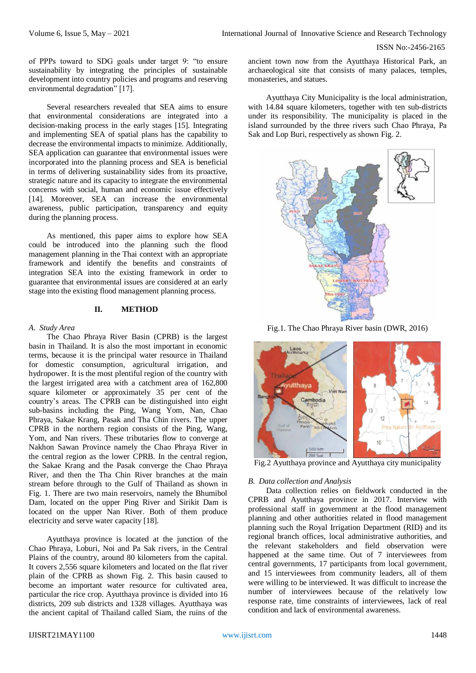of PPPs toward to SDG goals under target 9: "to ensure sustainability by integrating the principles of sustainable development into country policies and programs and reserving environmental degradation" [17].

Several researchers revealed that SEA aims to ensure that environmental considerations are integrated into a decision-making process in the early stages [15]. Integrating and implementing SEA of spatial plans has the capability to decrease the environmental impacts to minimize. Additionally, SEA application can guarantee that environmental issues were incorporated into the planning process and SEA is beneficial in terms of delivering sustainability sides from its proactive, strategic nature and its capacity to integrate the environmental concerns with social, human and economic issue effectively [14]. Moreover, SEA can increase the environmental awareness, public participation, transparency and equity during the planning process.

As mentioned, this paper aims to explore how SEA could be introduced into the planning such the flood management planning in the Thai context with an appropriate framework and identify the benefits and constraints of integration SEA into the existing framework in order to guarantee that environmental issues are considered at an early stage into the existing flood management planning process.

## **II. METHOD**

#### *A. Study Area*

The Chao Phraya River Basin (CPRB) is the largest basin in Thailand. It is also the most important in economic terms, because it is the principal water resource in Thailand for domestic consumption, agricultural irrigation, and hydropower. It is the most plentiful region of the country with the largest irrigated area with a catchment area of 162,800 square kilometer or approximately 35 per cent of the country's areas. The CPRB can be distinguished into eight sub-basins including the Ping, Wang Yom, Nan, Chao Phraya, Sakae Krang, Pasak and Tha Chin rivers. The upper CPRB in the northern region consists of the Ping, Wang, Yom, and Nan rivers. These tributaries flow to converge at Nakhon Sawan Province namely the Chao Phraya River in the central region as the lower CPRB. In the central region, the Sakae Krang and the Pasak converge the Chao Phraya River, and then the Tha Chin River branches at the main stream before through to the Gulf of Thailand as shown in Fig. 1. There are two main reservoirs, namely the Bhumibol Dam, located on the upper Ping River and Sirikit Dam is located on the upper Nan River. Both of them produce electricity and serve water capacity [18].

Ayutthaya province is located at the junction of the Chao Phraya, Loburi, Noi and Pa Sak rivers, in the Central Plains of the country, around 80 kilometers from the capital. It covers 2,556 square kilometers and located on the flat river plain of the CPRB as shown Fig. 2. This basin caused to become an important water resource for cultivated area, particular the rice crop. Ayutthaya province is divided into 16 districts, 209 sub districts and 1328 villages. Ayutthaya was the ancient capital of Thailand called Siam, the ruins of the

ancient town now from the Ayutthaya Historical Park, an archaeological site that consists of many palaces, temples, monasteries, and statues.

Ayutthaya City Municipality is the local administration, with 14.84 square kilometers, together with ten sub-districts under its responsibility. The municipality is placed in the island surrounded by the three rivers such Chao Phraya, Pa Sak and Lop Buri, respectively as shown Fig. 2.



Fig.1. The Chao Phraya River basin (DWR, 2016)



Fig.2 Ayutthaya province and Ayutthaya city municipality

#### *B. Data collection and Analysis*

Data collection relies on fieldwork conducted in the CPRB and Ayutthaya province in 2017. Interview with professional staff in government at the flood management planning and other authorities related in flood management planning such the Royal Irrigation Department (RID) and its regional branch offices, local administrative authorities, and the relevant stakeholders and field observation were happened at the same time. Out of 7 interviewees from central governments, 17 participants from local government, and 15 interviewees from community leaders, all of them were willing to be interviewed. It was difficult to increase the number of interviewees because of the relatively low response rate, time constraints of interviewees, lack of real condition and lack of environmental awareness.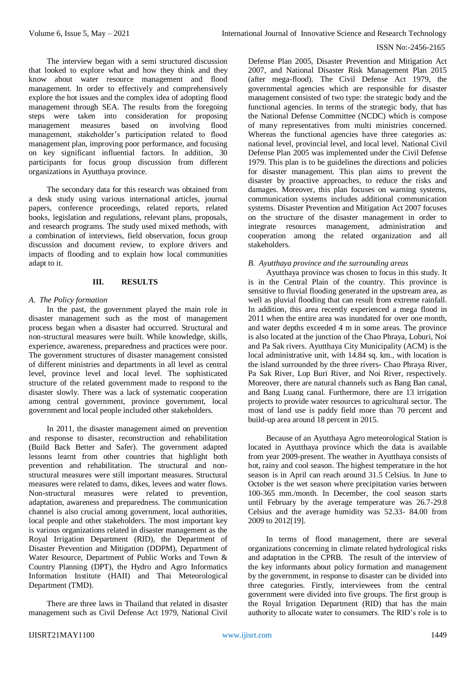The interview began with a semi structured discussion that looked to explore what and how they think and they know about water resource management and flood management. In order to effectively and comprehensively explore the hot issues and the complex idea of adopting flood management through SEA. The results from the foregoing steps were taken into consideration for proposing management measures based on involving flood management, stakeholder's participation related to flood management plan, improving poor performance, and focusing on key significant influential factors. In addition, 30 participants for focus group discussion from different organizations in Ayutthaya province.

The secondary data for this research was obtained from a desk study using various international articles, journal papers, conference proceedings, related reports, related books, legislation and regulations, relevant plans, proposals, and research programs. The study used mixed methods, with a combination of interviews, field observation, focus group discussion and document review, to explore drivers and impacts of flooding and to explain how local communities adapt to it.

## **III. RESULTS**

#### *A. The Policy formation*

In the past, the government played the main role in disaster management such as the most of management process began when a disaster had occurred. Structural and non-structural measures were built. While knowledge, skills, experience, awareness, preparedness and practices were poor. The government structures of disaster management consisted of different ministries and departments in all level as central level, province level and local level. The sophisticated structure of the related government made to respond to the disaster slowly. There was a lack of systematic cooperation among central government, province government, local government and local people included other stakeholders.

In 2011, the disaster management aimed on prevention and response to disaster, reconstruction and rehabilitation (Build Back Better and Safer). The government adapted lessons learnt from other countries that highlight both prevention and rehabilitation. The structural and nonstructural measures were still important measures. Structural measures were related to dams, dikes, levees and water flows. Non-structural measures were related to prevention, adaptation, awareness and preparedness. The communication channel is also crucial among government, local authorities, local people and other stakeholders. The most important key is various organizations related in disaster management as the Royal Irrigation Department (RID), the Department of Disaster Prevention and Mitigation (DDPM), Department of Water Resource, Department of Public Works and Town & Country Planning (DPT), the Hydro and Agro Informatics Information Institute (HAII) and Thai Meteorological Department (TMD).

There are three laws in Thailand that related in disaster management such as Civil Defense Act 1979, National Civil Defense Plan 2005, Disaster Prevention and Mitigation Act 2007, and National Disaster Risk Management Plan 2015 (after mega-flood). The Civil Defense Act 1979, the governmental agencies which are responsible for disaster management consisted of two type: the strategic body and the functional agencies. In terms of the strategic body, that has the National Defense Committee (NCDC) which is compose of many representatives from multi ministries concerned. Whereas the functional agencies have three categories as: national level, provincial level, and local level. National Civil Defense Plan 2005 was implemented under the Civil Defense 1979. This plan is to be guidelines the directions and policies for disaster management. This plan aims to prevent the disaster by proactive approaches, to reduce the risks and damages. Moreover, this plan focuses on warning systems, communication systems includes additional communication systems. Disaster Prevention and Mitigation Act 2007 focuses on the structure of the disaster management in order to integrate resources management, administration and cooperation among the related organization and all stakeholders.

#### *B. Ayutthaya province and the surrounding areas*

Ayutthaya province was chosen to focus in this study. It is in the Central Plain of the country. This province is sensitive to fluvial flooding generated in the upstream area, as well as pluvial flooding that can result from extreme rainfall. In addition, this area recently experienced a mega flood in 2011 when the entire area was inundated for over one month, and water depths exceeded 4 m in some areas. The province is also located at the junction of the Chao Phraya, Loburi, Noi and Pa Sak rivers. Ayutthaya City Municipality (ACM) is the local administrative unit, with 14.84 sq. km., with location is the island surrounded by the three rivers- Chao Phraya River, Pa Sak River, Lop Buri River, and Noi River, respectively. Moreover, there are natural channels such as Bang Ban canal, and Bang Luang canal. Furthermore, there are 13 irrigation projects to provide water resources to agricultural sector. The most of land use is paddy field more than 70 percent and build-up area around 18 percent in 2015.

Because of an Ayutthaya Agro meteorological Station is located in Ayutthaya province which the data is available from year 2009-present. The weather in Ayutthaya consists of hot, rainy and cool season. The highest temperature in the hot season is in April can reach around 31.5 Celsius. In June to October is the wet season where precipitation varies between 100-365 mm./month. In December, the cool season starts until February by the average temperature was 26.7-29.8 Celsius and the average humidity was 52.33- 84.00 from 2009 to 2012[19].

In terms of flood management, there are several organizations concerning in climate related hydrological risks and adaptation in the CPRB. The result of the interview of the key informants about policy formation and management by the government, in response to disaster can be divided into three categories. Firstly, interviewees from the central government were divided into five groups. The first group is the Royal Irrigation Department (RID) that has the main authority to allocate water to consumers. The RID's role is to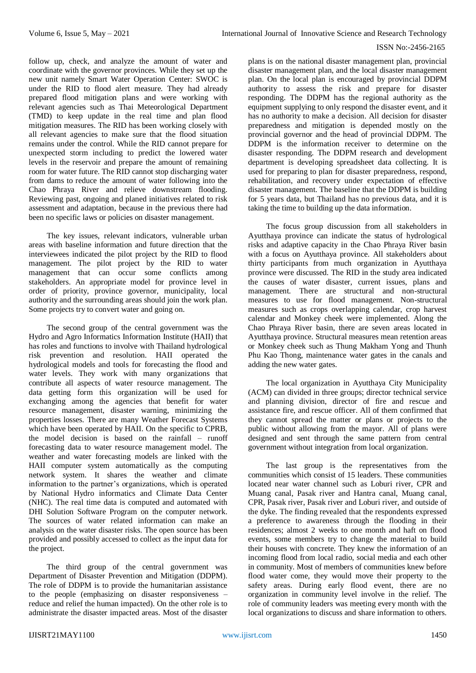follow up, check, and analyze the amount of water and coordinate with the governor provinces. While they set up the new unit namely Smart Water Operation Center: SWOC is under the RID to flood alert measure. They had already prepared flood mitigation plans and were working with relevant agencies such as Thai Meteorological Department (TMD) to keep update in the real time and plan flood mitigation measures. The RID has been working closely with all relevant agencies to make sure that the flood situation remains under the control. While the RID cannot prepare for unexpected storm including to predict the lowered water levels in the reservoir and prepare the amount of remaining room for water future. The RID cannot stop discharging water from dams to reduce the amount of water following into the Chao Phraya River and relieve downstream flooding. Reviewing past, ongoing and planed initiatives related to risk assessment and adaptation, because in the previous there had been no specific laws or policies on disaster management.

The key issues, relevant indicators, vulnerable urban areas with baseline information and future direction that the interviewees indicated the pilot project by the RID to flood management. The pilot project by the RID to water management that can occur some conflicts among stakeholders. An appropriate model for province level in order of priority, province governor, municipality, local authority and the surrounding areas should join the work plan. Some projects try to convert water and going on.

The second group of the central government was the Hydro and Agro Informatics Information Institute (HAII) that has roles and functions to involve with Thailand hydrological risk prevention and resolution. HAII operated the hydrological models and tools for forecasting the flood and water levels. They work with many organizations that contribute all aspects of water resource management. The data getting form this organization will be used for exchanging among the agencies that benefit for water resource management, disaster warning, minimizing the properties losses. There are many Weather Forecast Systems which have been operated by HAII. On the specific to CPRB, the model decision is based on the rainfall – runoff forecasting data to water resource management model. The weather and water forecasting models are linked with the HAII computer system automatically as the computing network system. It shares the weather and climate information to the partner's organizations, which is operated by National Hydro informatics and Climate Data Center (NHC). The real time data is computed and automated with DHI Solution Software Program on the computer network. The sources of water related information can make an analysis on the water disaster risks. The open source has been provided and possibly accessed to collect as the input data for the project.

The third group of the central government was Department of Disaster Prevention and Mitigation (DDPM). The role of DDPM is to provide the humanitarian assistance to the people (emphasizing on disaster responsiveness – reduce and relief the human impacted). On the other role is to administrate the disaster impacted areas. Most of the disaster plans is on the national disaster management plan, provincial disaster management plan, and the local disaster management plan. On the local plan is encouraged by provincial DDPM authority to assess the risk and prepare for disaster responding. The DDPM has the regional authority as the equipment supplying to only respond the disaster event, and it has no authority to make a decision. All decision for disaster preparedness and mitigation is depended mostly on the provincial governor and the head of provincial DDPM. The DDPM is the information receiver to determine on the disaster responding. The DDPM research and development department is developing spreadsheet data collecting. It is used for preparing to plan for disaster preparedness, respond, rehabilitation, and recovery under expectation of effective disaster management. The baseline that the DDPM is building for 5 years data, but Thailand has no previous data, and it is taking the time to building up the data information.

The focus group discussion from all stakeholders in Ayutthaya province can indicate the status of hydrological risks and adaptive capacity in the Chao Phraya River basin with a focus on Ayutthaya province. All stakeholders about thirty participants from much organization in Ayutthaya province were discussed. The RID in the study area indicated the causes of water disaster, current issues, plans and management. There are structural and non-structural measures to use for flood management. Non-structural measures such as crops overlapping calendar, crop harvest calendar and Monkey cheek were implemented. Along the Chao Phraya River basin, there are seven areas located in Ayutthaya province. Structural measures mean retention areas or Monkey cheek such as Thung Makham Yong and Thunh Phu Kao Thong, maintenance water gates in the canals and adding the new water gates.

The local organization in Ayutthaya City Municipality (ACM) can divided in three groups; director technical service and planning division, director of fire and rescue and assistance fire, and rescue officer. All of them confirmed that they cannot spread the matter or plans or projects to the public without allowing from the mayor. All of plans were designed and sent through the same pattern from central government without integration from local organization.

The last group is the representatives from the communities which consist of 15 leaders. These communities located near water channel such as Loburi river, CPR and Muang canal, Pasak river and Hantra canal, Muang canal, CPR, Pasak river, Pasak river and Loburi river, and outside of the dyke. The finding revealed that the respondents expressed a preference to awareness through the flooding in their residences; almost 2 weeks to one month and haft on flood events, some members try to change the material to build their houses with concrete. They knew the information of an incoming flood from local radio, social media and each other in community. Most of members of communities knew before flood water come, they would move their property to the safety areas. During early flood event, there are no organization in community level involve in the relief. The role of community leaders was meeting every month with the local organizations to discuss and share information to others.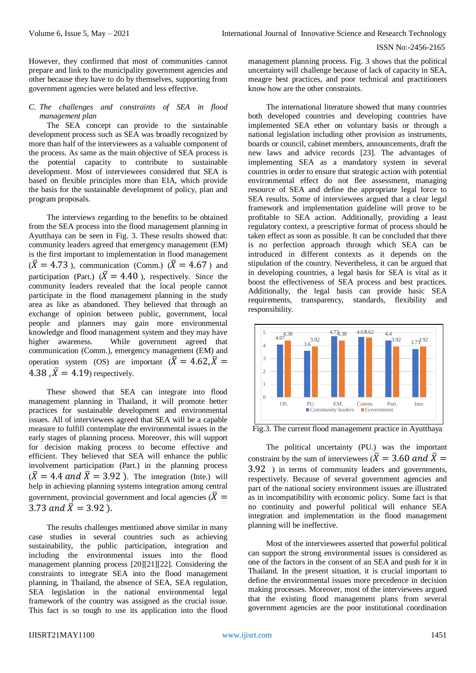However, they confirmed that most of communities cannot prepare and link to the municipality government agencies and other because they have to do by themselves, supporting from government agencies were belated and less effective.

#### *C. The challenges and constraints of SEA in flood management plan*

The SEA concept can provide to the sustainable development process such as SEA was broadly recognized by more than half of the interviewees as a valuable component of the process. As same as the main objective of SEA process is the potential capacity to contribute to sustainable development. Most of interviewees considered that SEA is based on flexible principles more than EIA, which provide the basis for the sustainable development of policy, plan and program proposals.

The interviews regarding to the benefits to be obtained from the SEA process into the flood management planning in Ayutthaya can be seen in Fig. 3. These results showed that: community leaders agreed that emergency management (EM) is the first important to implementation in flood management  $(\overline{X} = 4.73)$ , communication (Comm.)  $(\overline{X} = 4.67)$  and participation (Part.)  $(\bar{X} = 4.40)$ , respectively. Since the community leaders revealed that the local people cannot participate in the flood management planning in the study area as like as abandoned. They believed that through an exchange of opinion between public, government, local people and planners may gain more environmental knowledge and flood management system and they may have higher awareness. While government agreed that communication (Comm.), emergency management (EM) and operation system (OS) are important  $(\bar{X} = 4.62 \cdot \bar{X})$ 4.38  $\overline{X}$  = 4.19) respectively.

These showed that SEA can integrate into flood management planning in Thailand, it will promote better practices for sustainable development and environmental issues. All of interviewees agreed that SEA will be a capable measure to fulfill contemplate the environmental issues in the early stages of planning process. Moreover, this will support for decision making process to become effective and efficient. They believed that SEA will enhance the public involvement participation (Part.) in the planning process  $(\bar{X} = 4.4$  and  $\bar{X} = 3.92$ ). The integration (Inte.) will help in achieving planning systems integration among central government, provincial government and local agencies ( $\overline{X}$  = 3.73 and  $\bar{X} = 3.92$  ).

The results challenges mentioned above similar in many case studies in several countries such as achieving sustainability, the public participation, integration and including the environmental issues into the flood management planning process [20][21][22]. Considering the constraints to integrate SEA into the flood management planning, in Thailand, the absence of SEA, SEA regulation, SEA legislation in the national environmental legal framework of the country was assigned as the crucial issue. This fact is so tough to use its application into the flood

management planning process. Fig. 3 shows that the political uncertainty will challenge because of lack of capacity in SEA, meagre best practices, and poor technical and practitioners know how are the other constraints.

The international literature showed that many countries both developed countries and developing countries have implemented SEA ether on voluntary basis or through a national legislation including other provision as instruments, boards or council, cabinet members, announcements, draft the new laws and advice records [23]. The advantages of implementing SEA as a mandatory system in several countries in order to ensure that strategic action with potential environmental effect do not flee assessment, managing resource of SEA and define the appropriate legal force to SEA results. Some of interviewees argued that a clear legal framework and implementation guideline will prove to be profitable to SEA action. Additionally, providing a least regulatory context, a prescriptive format of process should be taken effect as soon as possible. It can be concluded that there is no perfection approach through which SEA can be introduced in different contexts as it depends on the stipulation of the country. Nevertheless, it can be argued that in developing countries, a legal basis for SEA is vital as it boost the effectiveness of SEA process and best practices. Additionally, the legal basis can provide basic SEA requirements, transparency, standards, flexibility and responsibility.



Fig.3. The current flood management practice in Ayutthaya

The political uncertainty (PU.) was the important constraint by the sum of interviewees ( $\overline{X} = 3.60$  and  $\overline{X} =$ 3.92 ) in terms of community leaders and governments, respectively. Because of several government agencies and part of the national society environment issues are illustrated as in incompatibility with economic policy. Some fact is that no continuity and powerful political will enhance SEA integration and implementation in the flood management planning will be ineffective.

Most of the interviewees asserted that powerful political can support the strong environmental issues is considered as one of the factors in the consent of an SEA and push for it in Thailand. In the present situation, it is crucial important to define the environmental issues more precedence in decision making processes. Moreover, most of the interviewees argued that the existing flood management plans from several government agencies are the poor institutional coordination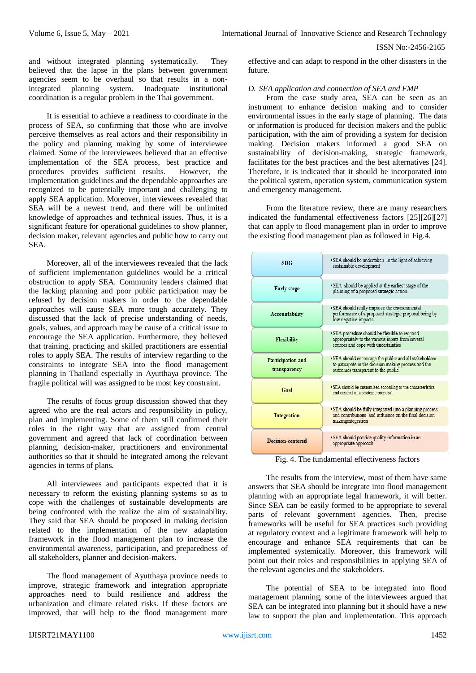and without integrated planning systematically. They believed that the lapse in the plans between government agencies seem to be overhaul so that results in a nonintegrated planning system. Inadequate institutional coordination is a regular problem in the Thai government.

It is essential to achieve a readiness to coordinate in the process of SEA, so confirming that those who are involve perceive themselves as real actors and their responsibility in the policy and planning making by some of interviewee claimed. Some of the interviewees believed that an effective implementation of the SEA process, best practice and procedures provides sufficient results. However, the implementation guidelines and the dependable approaches are recognized to be potentially important and challenging to apply SEA application. Moreover, interviewees revealed that SEA will be a newest trend, and there will be unlimited knowledge of approaches and technical issues. Thus, it is a significant feature for operational guidelines to show planner, decision maker, relevant agencies and public how to carry out SEA.

Moreover, all of the interviewees revealed that the lack of sufficient implementation guidelines would be a critical obstruction to apply SEA. Community leaders claimed that the lacking planning and poor public participation may be refused by decision makers in order to the dependable approaches will cause SEA more tough accurately. They discussed that the lack of precise understanding of needs, goals, values, and approach may be cause of a critical issue to encourage the SEA application. Furthermore, they believed that training, practicing and skilled practitioners are essential roles to apply SEA. The results of interview regarding to the constraints to integrate SEA into the flood management planning in Thailand especially in Ayutthaya province. The fragile political will was assigned to be most key constraint.

The results of focus group discussion showed that they agreed who are the real actors and responsibility in policy, plan and implementing. Some of them still confirmed their roles in the right way that are assigned from central government and agreed that lack of coordination between planning, decision-maker, practitioners and environmental authorities so that it should be integrated among the relevant agencies in terms of plans.

All interviewees and participants expected that it is necessary to reform the existing planning systems so as to cope with the challenges of sustainable developments are being confronted with the realize the aim of sustainability. They said that SEA should be proposed in making decision related to the implementation of the new adaptation framework in the flood management plan to increase the environmental awareness, participation, and preparedness of all stakeholders, planner and decision-makers.

The flood management of Ayutthaya province needs to improve, strategic framework and integration appropriate approaches need to build resilience and address the urbanization and climate related risks. If these factors are improved, that will help to the flood management more

effective and can adapt to respond in the other disasters in the future.

## *D. SEA application and connection of SEA and FMP*

From the case study area, SEA can be seen as an instrument to enhance decision making and to consider environmental issues in the early stage of planning. The data or information is produced for decision makers and the public participation, with the aim of providing a system for decision making. Decision makers informed a good SEA on sustainability of decision-making, strategic framework, facilitates for the best practices and the best alternatives [24]. Therefore, it is indicated that it should be incorporated into the political system, operation system, communication system and emergency management.

From the literature review, there are many researchers indicated the fundamental effectiveness factors [25][26][27] that can apply to flood management plan in order to improve the existing flood management plan as followed in Fig.4.

| SDG                               | •SEA should be undertaken in the light of achieving<br>sustainable development                                                                       |
|-----------------------------------|------------------------------------------------------------------------------------------------------------------------------------------------------|
| <b>Early stage</b>                | • SEA should be applied at the earliest stage of the<br>planning of a proposed strategic action.                                                     |
| Accountability                    | • SEA should really improve the environmental<br>performance of a proposed strategic proposal being by<br>low negative impacts                       |
| <b>Flexibility</b>                | • SEA procedure should be flexible to respond<br>appropriately to the various inputs from several<br>sources and cope with uncertainties             |
| Participation and<br>transparency | . SEA should encourage the public and all stakeholders<br>to paticipate in the dicision making process and the<br>outcomes transparent to the public |
| Goal                              | • SEA should be customised according to the characteristics<br>and context of a strategic proposal                                                   |
| <b>Integration</b>                | • SEA should be fully integrated into a planning process<br>and contributions and influence on the final decision<br>makingintegration               |
| Decision-centered                 | • SEA should provide quality information in an<br>appropriate approach                                                                               |

Fig. 4. The fundamental effectiveness factors

The results from the interview, most of them have same answers that SEA should be integrate into flood management planning with an appropriate legal framework, it will better. Since SEA can be easily formed to be appropriate to several parts of relevant government agencies. Then, precise frameworks will be useful for SEA practices such providing at regulatory context and a legitimate framework will help to encourage and enhance SEA requirements that can be implemented systemically. Moreover, this framework will point out their roles and responsibilities in applying SEA of the relevant agencies and the stakeholders.

The potential of SEA to be integrated into flood management planning, some of the interviewees argued that SEA can be integrated into planning but it should have a new law to support the plan and implementation. This approach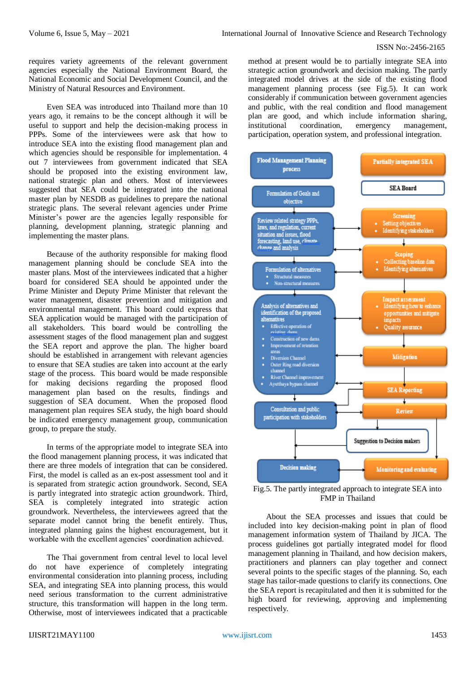requires variety agreements of the relevant government agencies especially the National Environment Board, the National Economic and Social Development Council, and the Ministry of Natural Resources and Environment.

Even SEA was introduced into Thailand more than 10 years ago, it remains to be the concept although it will be useful to support and help the decision-making process in PPPs. Some of the interviewees were ask that how to introduce SEA into the existing flood management plan and which agencies should be responsible for implementation. 4 out 7 interviewees from government indicated that SEA should be proposed into the existing environment law, national strategic plan and others. Most of interviewees suggested that SEA could be integrated into the national master plan by NESDB as guidelines to prepare the national strategic plans. The several relevant agencies under Prime Minister's power are the agencies legally responsible for planning, development planning, strategic planning and implementing the master plans.

Because of the authority responsible for making flood management planning should be conclude SEA into the master plans. Most of the interviewees indicated that a higher board for considered SEA should be appointed under the Prime Minister and Deputy Prime Minister that relevant the water management, disaster prevention and mitigation and environmental management. This board could express that SEA application would be managed with the participation of all stakeholders. This board would be controlling the assessment stages of the flood management plan and suggest the SEA report and approve the plan. The higher board should be established in arrangement with relevant agencies to ensure that SEA studies are taken into account at the early stage of the process. This board would be made responsible for making decisions regarding the proposed flood management plan based on the results, findings and suggestion of SEA document. When the proposed flood management plan requires SEA study, the high board should be indicated emergency management group, communication group, to prepare the study.

In terms of the appropriate model to integrate SEA into the flood management planning process, it was indicated that there are three models of integration that can be considered. First, the model is called as an ex-post assessment tool and it is separated from strategic action groundwork. Second, SEA is partly integrated into strategic action groundwork. Third, SEA is completely integrated into strategic action groundwork. Nevertheless, the interviewees agreed that the separate model cannot bring the benefit entirely. Thus, integrated planning gains the highest encouragement, but it workable with the excellent agencies' coordination achieved.

The Thai government from central level to local level do not have experience of completely integrating environmental consideration into planning process, including SEA, and integrating SEA into planning process, this would need serious transformation to the current administrative structure, this transformation will happen in the long term. Otherwise, most of interviewees indicated that a practicable

method at present would be to partially integrate SEA into strategic action groundwork and decision making. The partly integrated model drives at the side of the existing flood management planning process (see Fig.5). It can work considerably if communication between government agencies and public, with the real condition and flood management plan are good, and which include information sharing, institutional coordination, emergency management, participation, operation system, and professional integration.



Fig.5. The partly integrated approach to integrate SEA into FMP in Thailand

About the SEA processes and issues that could be included into key decision-making point in plan of flood management information system of Thailand by JICA. The process guidelines got partially integrated model for flood management planning in Thailand, and how decision makers, practitioners and planners can play together and connect several points to the specific stages of the planning. So, each stage has tailor-made questions to clarify its connections. One the SEA report is recapitulated and then it is submitted for the high board for reviewing, approving and implementing respectively.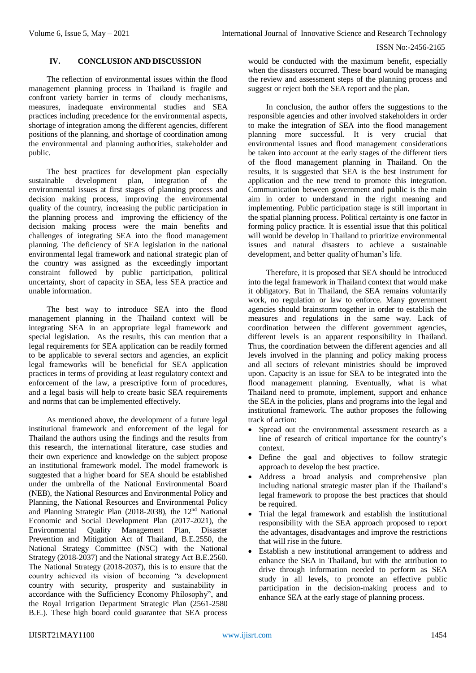## **IV. CONCLUSION AND DISCUSSION**

The reflection of environmental issues within the flood management planning process in Thailand is fragile and confront variety barrier in terms of cloudy mechanisms, measures, inadequate environmental studies and SEA practices including precedence for the environmental aspects, shortage of integration among the different agencies, different positions of the planning, and shortage of coordination among the environmental and planning authorities, stakeholder and public.

The best practices for development plan especially sustainable development plan, integration of the environmental issues at first stages of planning process and decision making process, improving the environmental quality of the country, increasing the public participation in the planning process and improving the efficiency of the decision making process were the main benefits and challenges of integrating SEA into the flood management planning. The deficiency of SEA legislation in the national environmental legal framework and national strategic plan of the country was assigned as the exceedingly important constraint followed by public participation, political uncertainty, short of capacity in SEA, less SEA practice and unable information.

The best way to introduce SEA into the flood management planning in the Thailand context will be integrating SEA in an appropriate legal framework and special legislation. As the results, this can mention that a legal requirements for SEA application can be readily formed to be applicable to several sectors and agencies, an explicit legal frameworks will be beneficial for SEA application practices in terms of providing at least regulatory context and enforcement of the law, a prescriptive form of procedures, and a legal basis will help to create basic SEA requirements and norms that can be implemented effectively.

As mentioned above, the development of a future legal institutional framework and enforcement of the legal for Thailand the authors using the findings and the results from this research, the international literature, case studies and their own experience and knowledge on the subject propose an institutional framework model. The model framework is suggested that a higher board for SEA should be established under the umbrella of the National Environmental Board (NEB), the National Resources and Environmental Policy and Planning, the National Resources and Environmental Policy and Planning Strategic Plan (2018-2038), the 12nd National Economic and Social Development Plan (2017-2021), the Environmental Quality Management Plan, Disaster Prevention and Mitigation Act of Thailand, B.E.2550, the National Strategy Committee (NSC) with the National Strategy (2018-2037) and the National strategy Act B.E.2560. The National Strategy (2018-2037), this is to ensure that the country achieved its vision of becoming "a development country with security, prosperity and sustainability in accordance with the Sufficiency Economy Philosophy", and the Royal Irrigation Department Strategic Plan (2561-2580 B.E.). These high board could guarantee that SEA process

would be conducted with the maximum benefit, especially when the disasters occurred. These board would be managing the review and assessment steps of the planning process and suggest or reject both the SEA report and the plan.

In conclusion, the author offers the suggestions to the responsible agencies and other involved stakeholders in order to make the integration of SEA into the flood management planning more successful. It is very crucial that environmental issues and flood management considerations be taken into account at the early stages of the different tiers of the flood management planning in Thailand. On the results, it is suggested that SEA is the best instrument for application and the new trend to promote this integration. Communication between government and public is the main aim in order to understand in the right meaning and implementing. Public participation stage is still important in the spatial planning process. Political certainty is one factor in forming policy practice. It is essential issue that this political will would be develop in Thailand to prioritize environmental issues and natural disasters to achieve a sustainable development, and better quality of human's life.

Therefore, it is proposed that SEA should be introduced into the legal framework in Thailand context that would make it obligatory. But in Thailand, the SEA remains voluntarily work, no regulation or law to enforce. Many government agencies should brainstorm together in order to establish the measures and regulations in the same way. Lack of coordination between the different government agencies, different levels is an apparent responsibility in Thailand. Thus, the coordination between the different agencies and all levels involved in the planning and policy making process and all sectors of relevant ministries should be improved upon. Capacity is an issue for SEA to be integrated into the flood management planning. Eventually, what is what Thailand need to promote, implement, support and enhance the SEA in the policies, plans and programs into the legal and institutional framework. The author proposes the following track of action:

- Spread out the environmental assessment research as a line of research of critical importance for the country's context.
- Define the goal and objectives to follow strategic approach to develop the best practice.
- Address a broad analysis and comprehensive plan including national strategic master plan if the Thailand's legal framework to propose the best practices that should be required.
- Trial the legal framework and establish the institutional responsibility with the SEA approach proposed to report the advantages, disadvantages and improve the restrictions that will rise in the future.
- Establish a new institutional arrangement to address and enhance the SEA in Thailand, but with the attribution to drive through information needed to perform as SEA study in all levels, to promote an effective public participation in the decision-making process and to enhance SEA at the early stage of planning process.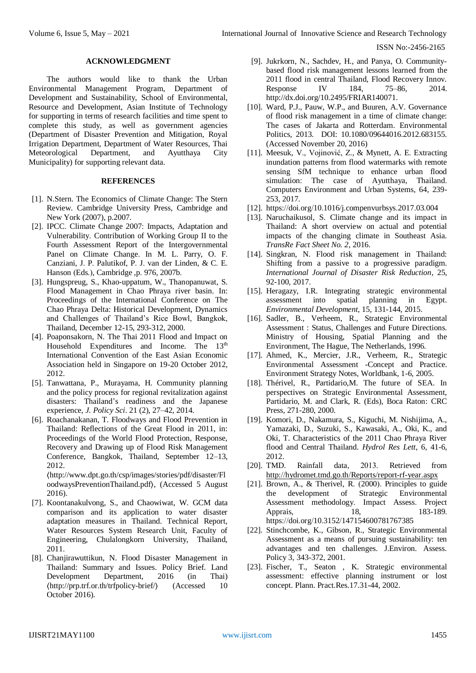#### **ACKNOWLEDGMENT**

The authors would like to thank the Urban Environmental Management Program, Department of Development and Sustainability, School of Environmental, Resource and Development, Asian Institute of Technology for supporting in terms of research facilities and time spent to complete this study, as well as government agencies (Department of Disaster Prevention and Mitigation, Royal Irrigation Department, Department of Water Resources, Thai Meteorological Department, and Ayutthaya City Municipality) for supporting relevant data.

#### **REFERENCES**

- [1]. N.Stern. The Economics of Climate Change: The Stern Review. Cambridge University Press, Cambridge and New York (2007), p.2007.
- [2]. IPCC. Climate Change 2007: Impacts, Adaptation and Vulnerability. Contribution of Working Group II to the Fourth Assessment Report of the Intergovernmental Panel on Climate Change. In M. L. Parry, O. F. Canziani, J. P. Palutikof, P. J. van der Linden, & C. E. Hanson (Eds.), Cambridge ,p. 976, 2007b.
- [3]. Hungspreug, S., Khao-uppatum, W., Thanopanuwat, S. Flood Management in Chao Phraya river basin. In: Proceedings of the International Conference on The Chao Phraya Delta: Historical Development, Dynamics and Challenges of Thailand's Rice Bowl, Bangkok, Thailand, December 12-15, 293-312, 2000.
- [4]. Poaponsakorn, N. The Thai 2011 Flood and Impact on Household Expenditures and Income. The 13<sup>th</sup> International Convention of the East Asian Economic Association held in Singapore on 19-20 October 2012, 2012.
- [5]. Tanwattana, P., Murayama, H. Community planning and the policy process for regional revitalization against disasters: Thailand's readiness and the Japanese experience, *J. Policy Sci*. 21 (2), 27–42, 2014.
- [6]. Roachanakanan, T. Floodways and Flood Prevention in Thailand: Reflections of the Great Flood in 2011, in: Proceedings of the World Flood Protection, Response, Recovery and Drawing up of Flood Risk Management Conference, Bangkok, Thailand, September 12–13, 2012.

〈http://www.dpt.go.th/csp/images/stories/pdf/disaster/Fl oodwaysPreventionThailand.pdf〉, (Accessed 5 August 2016).

- [7]. Koontanakulvong, S., and Chaowiwat, W. GCM data comparison and its application to water disaster adaptation measures in Thailand. Technical Report, Water Resources System Research Unit, Faculty of Engineering, Chulalongkorn University, Thailand, 2011.
- [8]. Chanjirawuttikun, N. Flood Disaster Management in Thailand: Summary and Issues. Policy Brief. Land Development Department, 2016 (in Thai) 〈http://prp.trf.or.th/trfpolicy-brief/〉 (Accessed 10 October 2016).
- [9]. Jukrkorn, N., Sachdev, H., and Panya, O. Communitybased flood risk management lessons learned from the 2011 flood in central Thailand, Flood Recovery Innov. Response IV 184, 75–86, 2014. http://dx.doi.org/10.2495/FRIAR140071.
- [10]. Ward, P.J., Pauw, W.P., and Buuren, A.V. Governance of flood risk management in a time of climate change: The cases of Jakarta and Rotterdam. Environmental Politics, 2013. DOI: 10.1080/09644016.2012.683155. (Accessed November 20, 2016)
- [11]. Meesuk, V., Vojinović, Z., & Mynett, A. E. Extracting inundation patterns from flood watermarks with remote sensing SfM technique to enhance urban flood simulation: The case of Ayutthaya, Thailand. Computers Environment and Urban Systems, 64, 239- 253, 2017.
- [12]. https://doi.org/10.1016/j.compenvurbsys.2017.03.004
- [13]. Naruchaikusol, S. Climate change and its impact in Thailand: A short overview on actual and potential impacts of the changing climate in Southeast Asia. *TransRe Fact Sheet No. 2*, 2016.
- [14]. Singkran, N. Flood risk management in Thailand: Shifting from a passive to a progressive paradigm. *International Journal of Disaster Risk Reduction*, 25, 92-100, 2017.
- [15]. Heragazy, I.R. Integrating strategic environmental assessment into spatial planning in Egypt. *Environmental Development*, 15, 131-144, 2015.
- [16]. Sadler, B., Verheem, R., Strategic Environmental Assessment : Status, Challenges and Future Directions. Ministry of Housing, Spatial Planning and the Environment, The Hague, The Netherlands, 1996.
- [17]. Ahmed, K., Mercier, J.R., Verheem, R., Strategic Environmental Assessment -Concept and Practice. Environment Strategy Notes, Worldbank, 1-6, 2005.
- [18]. Thérivel, R., Partidario,M. The future of SEA. In perspectives on Strategic Environmental Assessment, Partidario, M. and Clark, R. (Eds), Boca Raton: CRC Press, 271-280, 2000.
- [19]. Komori, D., Nakamura, S., Kiguchi, M. Nishijima, A., Yamazaki, D., Suzuki, S., Kawasaki, A., Oki, K., and Oki, T. Characteristics of the 2011 Chao Phraya River flood and Central Thailand. *Hydrol Res Lett*, 6, 41-6, 2012.
- [20]. TMD. Rainfall data, 2013. Retrieved from [http://hydromet.tmd.go.th/Reports/report](http://hydromet.tmd.go.th/Reports/report-rf-year.aspx)-rf-year.aspx
- [21]. Brown, A., & Therivel, R. (2000). Principles to guide the development of Strategic Environmental Assessment methodology. Impact Assess. Project Apprais, 18, 183-189. https://doi.org/10.3152/147154600781767385
- [22]. Stinchcombe, K., Gibson, R., Strategic Environmental Assessment as a means of pursuing sustainability: ten advantages and ten challenges. J.Environ. Assess. Policy 3, 343-372, 2001.
- [23]. Fischer, T., Seaton , K. Strategic environmental assessment: effective planning instrument or lost concept. Plann. Pract.Res.17.31-44, 2002.